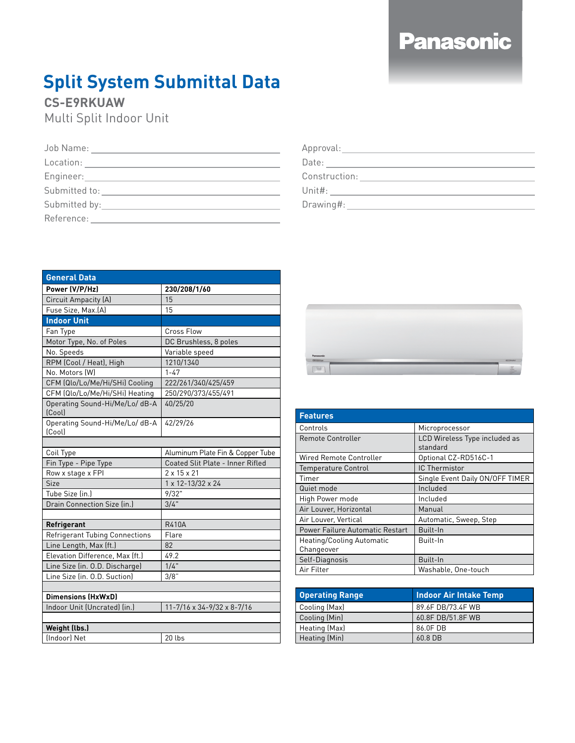## **Panasonic**

## **Split System Submittal Data**

## **CS-E9RKUAW**

Multi Split Indoor Unit

| <b>General Data</b>                      |                                              |
|------------------------------------------|----------------------------------------------|
| Power (V/P/Hz)                           | 230/208/1/60                                 |
| Circuit Ampacity (A)                     | 15                                           |
| Fuse Size, Max.(A)                       | 15                                           |
| <b>Indoor Unit</b>                       |                                              |
| Fan Type                                 | Cross Flow                                   |
| Motor Type, No. of Poles                 | DC Brushless, 8 poles                        |
| No. Speeds                               | Variable speed                               |
| RPM (Cool / Heat), High                  | 1210/1340                                    |
| No. Motors (W)                           | $1 - 47$                                     |
| CFM (Qlo/Lo/Me/Hi/SHi) Cooling           | 222/261/340/425/459                          |
| CFM (Qlo/Lo/Me/Hi/SHi) Heating           | 250/290/373/455/491                          |
| Operating Sound-Hi/Me/Lo/ dB-A<br>[Cool] | 40/25/20                                     |
| Operating Sound-Hi/Me/Lo/ dB-A<br>[Cool] | 42/29/26                                     |
|                                          |                                              |
| Coil Type                                | Aluminum Plate Fin & Copper Tube             |
| Fin Type - Pipe Type                     | Coated Slit Plate - Inner Rifled             |
| Row x stage x FPI                        | $2 \times 15 \times 21$                      |
| Size                                     | 1 x 12-13/32 x 24                            |
| Tube Size (in.)                          | 9/32"                                        |
| Drain Connection Size (in.)              | 3/4"                                         |
|                                          |                                              |
| Refrigerant                              | <b>R410A</b>                                 |
| <b>Refrigerant Tubing Connections</b>    | Flare                                        |
| Line Length, Max (ft.)                   | 82                                           |
| Elevation Difference, Max (ft.)          | 49.2                                         |
| Line Size (in. O.D. Discharge)           | 1/4"                                         |
| Line Size (in. O.D. Suction)             | 3/8"                                         |
|                                          |                                              |
| <b>Dimensions (HxWxD)</b>                |                                              |
| Indoor Unit (Uncrated) (in.)             | $11 - 7/16 \times 34 - 9/32 \times 8 - 7/16$ |
|                                          |                                              |
| Weight (lbs.)                            |                                              |
| [Indoor] Net                             | 20 lbs                                       |



| <b>Features</b>                 |                                           |
|---------------------------------|-------------------------------------------|
| Controls                        | Microprocessor                            |
| Remote Controller               | LCD Wireless Type included as<br>standard |
| Wired Remote Controller         | Optional CZ-RD516C-1                      |
| <b>Temperature Control</b>      | IC Thermistor                             |
| Timer                           | Single Event Daily ON/OFF TIMER           |
| Quiet mode                      | Included                                  |
| High Power mode                 | Included                                  |
| Air Louver, Horizontal          | Manual                                    |
| Air Louver, Vertical            | Automatic, Sweep, Step                    |
| Power Failure Automatic Restart | Built-In                                  |
| Heating/Cooling Automatic       | Built-In                                  |
| Changeover                      |                                           |
| Self-Diagnosis                  | Built-In                                  |
| Air Filter                      | Washable, One-touch                       |
|                                 |                                           |

| <b>Operating Range</b> | Indoor Air Intake Temp |
|------------------------|------------------------|
| Cooling (Max)          | 89.6F DB/73.4F WB      |
| Cooling (Min)          | 60.8F DB/51.8F WB      |
| Heating (Max)          | 86.0F DB               |
| Heating (Min)          | $60.8$ DB              |